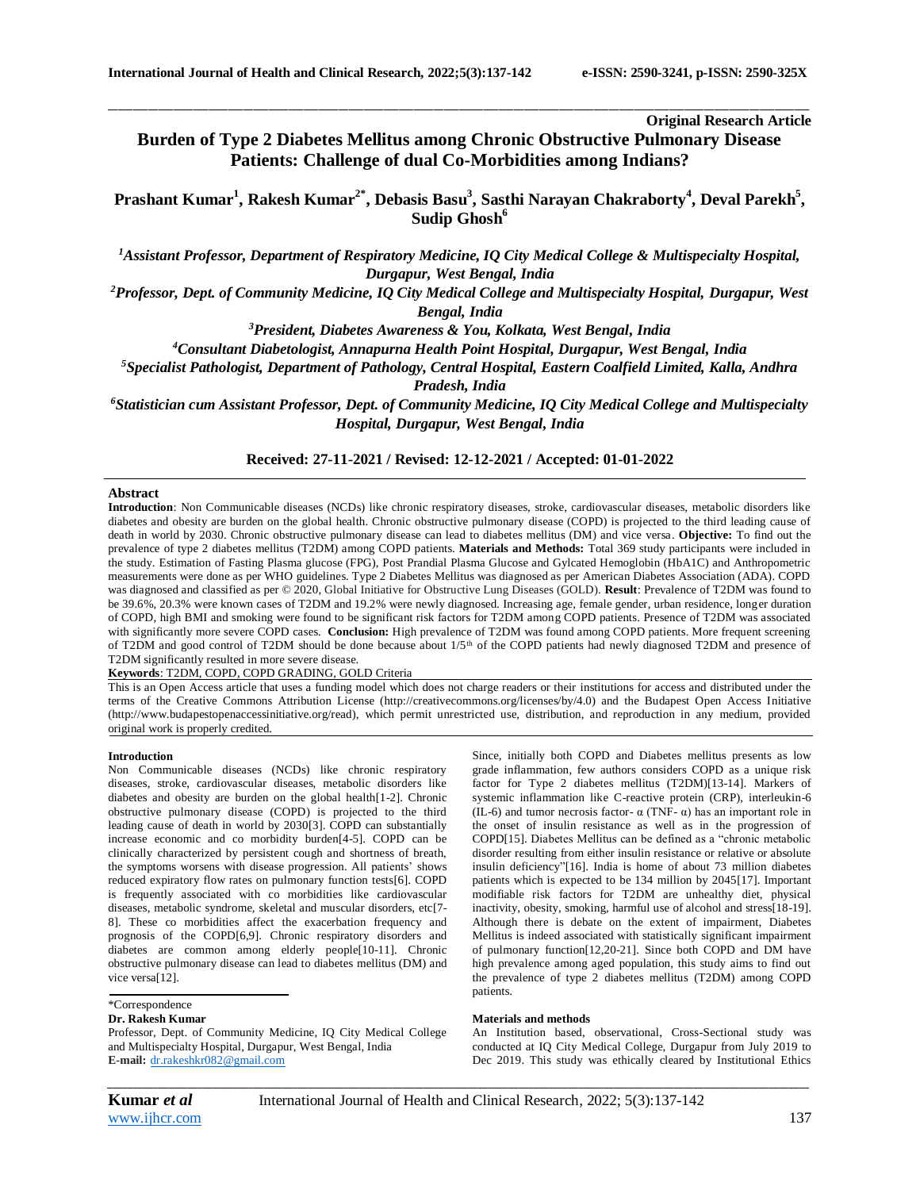# **Original Research Article**

# **Burden of Type 2 Diabetes Mellitus among Chronic Obstructive Pulmonary Disease Patients: Challenge of dual Co-Morbidities among Indians?**

\_\_\_\_\_\_\_\_\_\_\_\_\_\_\_\_\_\_\_\_\_\_\_\_\_\_\_\_\_\_\_\_\_\_\_\_\_\_\_\_\_\_\_\_\_\_\_\_\_\_\_\_\_\_\_\_\_\_\_\_\_\_\_\_\_\_\_\_\_\_\_\_\_\_\_\_\_\_\_\_\_\_\_\_\_\_\_\_\_\_\_\_\_\_\_\_\_\_\_\_\_\_\_\_\_\_\_\_\_\_\_\_\_\_\_\_\_\_\_\_\_\_\_\_\_\_\_\_\_\_\_\_\_\_\_\_\_\_\_\_

**Prashant Kumar<sup>1</sup> , Rakesh Kumar2\* , Debasis Basu<sup>3</sup> , Sasthi Narayan Chakraborty<sup>4</sup> , Deval Parekh<sup>5</sup> , Sudip Ghosh<sup>6</sup>**

*<sup>1</sup>Assistant Professor, Department of Respiratory Medicine, IQ City Medical College & Multispecialty Hospital, Durgapur, West Bengal, India*

*<sup>2</sup>Professor, Dept. of Community Medicine, IQ City Medical College and Multispecialty Hospital, Durgapur, West* 

*Bengal, India*

*<sup>3</sup>President, Diabetes Awareness & You, Kolkata, West Bengal, India*

*<sup>4</sup>Consultant Diabetologist, Annapurna Health Point Hospital, Durgapur, West Bengal, India*

*<sup>5</sup>Specialist Pathologist, Department of Pathology, Central Hospital, Eastern Coalfield Limited, Kalla, Andhra* 

*Pradesh, India*

*<sup>6</sup>Statistician cum Assistant Professor, Dept. of Community Medicine, IQ City Medical College and Multispecialty Hospital, Durgapur, West Bengal, India*

### **Received: 27-11-2021 / Revised: 12-12-2021 / Accepted: 01-01-2022**

### **Abstract**

**Introduction**: Non Communicable diseases (NCDs) like chronic respiratory diseases, stroke, cardiovascular diseases, metabolic disorders like diabetes and obesity are burden on the global health. Chronic obstructive pulmonary disease (COPD) is projected to the third leading cause of death in world by 2030. Chronic obstructive pulmonary disease can lead to diabetes mellitus (DM) and vice versa. **Objective:** To find out the prevalence of type 2 diabetes mellitus (T2DM) among COPD patients. **Materials and Methods:** Total 369 study participants were included in the study. Estimation of Fasting Plasma glucose (FPG), Post Prandial Plasma Glucose and Gylcated Hemoglobin (HbA1C) and Anthropometric measurements were done as per WHO guidelines. Type 2 Diabetes Mellitus was diagnosed as per American Diabetes Association (ADA). COPD was diagnosed and classified as per © 2020, Global Initiative for Obstructive Lung Diseases (GOLD). **Result**: Prevalence of T2DM was found to be 39.6%, 20.3% were known cases of T2DM and 19.2% were newly diagnosed. Increasing age, female gender, urban residence, longer duration of COPD, high BMI and smoking were found to be significant risk factors for T2DM among COPD patients. Presence of T2DM was associated with significantly more severe COPD cases. **Conclusion:** High prevalence of T2DM was found among COPD patients. More frequent screening of T2DM and good control of T2DM should be done because about 1/5th of the COPD patients had newly diagnosed T2DM and presence of T2DM significantly resulted in more severe disease.

**Keywords**: T2DM, COPD, COPD GRADING, GOLD Criteria

This is an Open Access article that uses a funding model which does not charge readers or their institutions for access and distributed under the terms of the Creative Commons Attribution License (http://creativecommons.org/licenses/by/4.0) and the Budapest Open Access Initiative (http://www.budapestopenaccessinitiative.org/read), which permit unrestricted use, distribution, and reproduction in any medium, provided original work is properly credited.

#### **Introduction**

Non Communicable diseases (NCDs) like chronic respiratory diseases, stroke, cardiovascular diseases, metabolic disorders like diabetes and obesity are burden on the global health[1-2]. Chronic obstructive pulmonary disease (COPD) is projected to the third leading cause of death in world by 2030[3]. COPD can substantially increase economic and co morbidity burden[4-5]. COPD can be clinically characterized by persistent cough and shortness of breath, the symptoms worsens with disease progression. All patients' shows reduced expiratory flow rates on pulmonary function tests[6]. COPD is frequently associated with co morbidities like cardiovascular diseases, metabolic syndrome, skeletal and muscular disorders, etc[7- 8]. These co morbidities affect the exacerbation frequency and prognosis of the COPD[6,9]. Chronic respiratory disorders and diabetes are common among elderly people[10-11]. Chronic obstructive pulmonary disease can lead to diabetes mellitus (DM) and vice versa[12].

## \*Correspondence

### **Dr. Rakesh Kumar**

Professor, Dept. of Community Medicine, IQ City Medical College and Multispecialty Hospital, Durgapur, West Bengal, India **E-mail:** [dr.rakeshkr082@gmail.com](mailto:dr.rakeshkr082@gmail.com)

Since, initially both COPD and Diabetes mellitus presents as low grade inflammation, few authors considers COPD as a unique risk factor for Type 2 diabetes mellitus (T2DM)[13-14]. Markers of systemic inflammation like C-reactive protein (CRP), interleukin-6 (IL-6) and tumor necrosis factor-  $\alpha$  (TNF- $\alpha$ ) has an important role in the onset of insulin resistance as well as in the progression of COPD[15]. Diabetes Mellitus can be defined as a "chronic metabolic disorder resulting from either insulin resistance or relative or absolute insulin deficiency"[16]. India is home of about 73 million diabetes patients which is expected to be 134 million by 2045[17]. Important modifiable risk factors for T2DM are unhealthy diet, physical inactivity, obesity, smoking, harmful use of alcohol and stress[18-19]. Although there is debate on the extent of impairment, Diabetes Mellitus is indeed associated with statistically significant impairment of pulmonary function[12,20-21]. Since both COPD and DM have high prevalence among aged population, this study aims to find out the prevalence of type 2 diabetes mellitus (T2DM) among COPD patients.

#### **Materials and methods**

An Institution based, observational, Cross-Sectional study was conducted at IQ City Medical College, Durgapur from July 2019 to Dec 2019. This study was ethically cleared by Institutional Ethics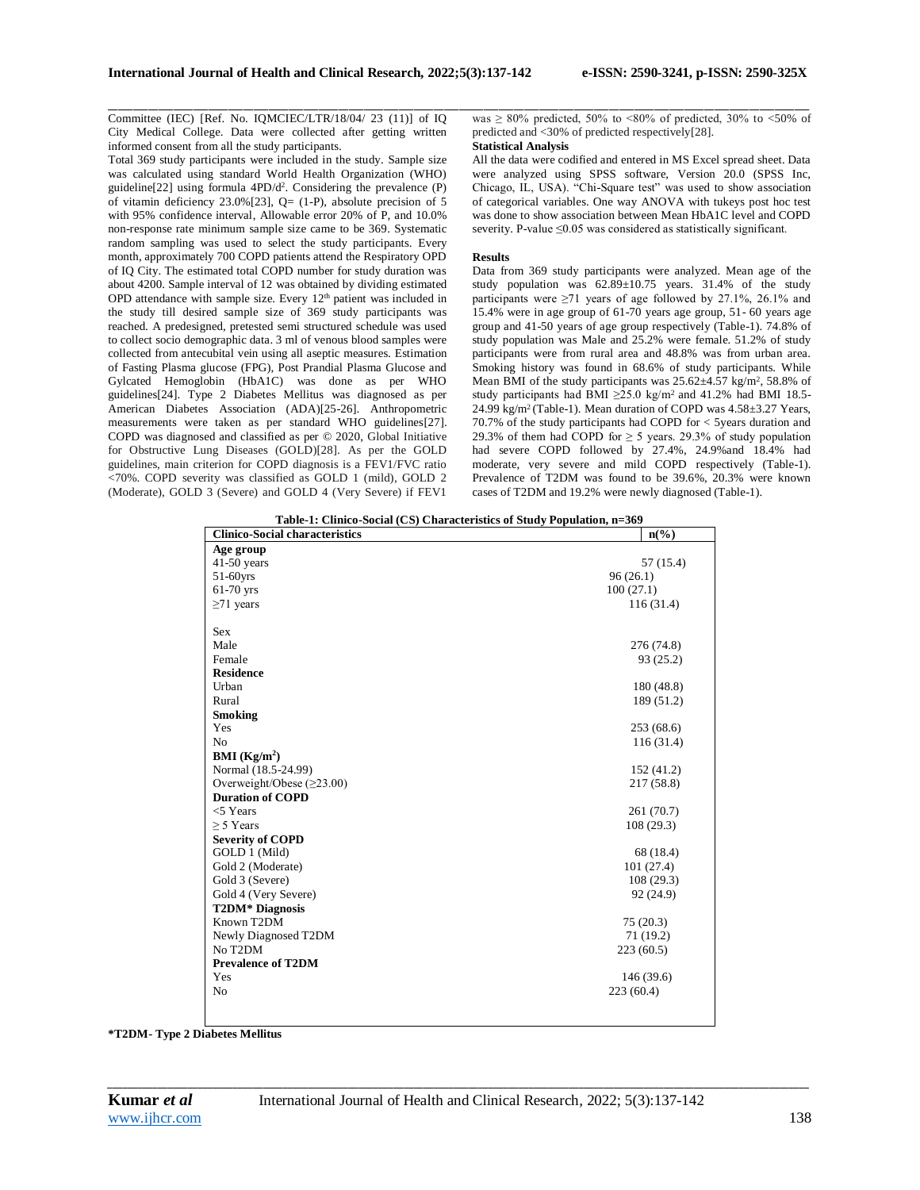Committee (IEC) [Ref. No. IQMCIEC/LTR/18/04/ 23 (11)] of IQ City Medical College. Data were collected after getting written informed consent from all the study participants.

Total 369 study participants were included in the study. Sample size was calculated using standard World Health Organization (WHO) guideline[22] using formula 4PD/d<sup>2</sup>. Considering the prevalence (P) of vitamin deficiency 23.0%[23], Q= (1-P), absolute precision of 5 with 95% confidence interval, Allowable error 20% of P, and 10.0% non-response rate minimum sample size came to be 369. Systematic random sampling was used to select the study participants. Every month, approximately 700 COPD patients attend the Respiratory OPD of IQ City. The estimated total COPD number for study duration was about 4200. Sample interval of 12 was obtained by dividing estimated OPD attendance with sample size. Every 12th patient was included in the study till desired sample size of 369 study participants was reached. A predesigned, pretested semi structured schedule was used to collect socio demographic data. 3 ml of venous blood samples were collected from antecubital vein using all aseptic measures. Estimation of Fasting Plasma glucose (FPG), Post Prandial Plasma Glucose and Gylcated Hemoglobin (HbA1C) was done as per WHO guidelines[24]. Type 2 Diabetes Mellitus was diagnosed as per American Diabetes Association (ADA)[25-26]. Anthropometric measurements were taken as per standard WHO guidelines[27]. COPD was diagnosed and classified as per © 2020, Global Initiative for Obstructive Lung Diseases (GOLD)[28]. As per the GOLD guidelines, main criterion for COPD diagnosis is a FEV1/FVC ratio <70%. COPD severity was classified as GOLD 1 (mild), GOLD 2 (Moderate), GOLD 3 (Severe) and GOLD 4 (Very Severe) if FEV1

\_\_\_\_\_\_\_\_\_\_\_\_\_\_\_\_\_\_\_\_\_\_\_\_\_\_\_\_\_\_\_\_\_\_\_\_\_\_\_\_\_\_\_\_\_\_\_\_\_\_\_\_\_\_\_\_\_\_\_\_\_\_\_\_\_\_\_\_\_\_\_\_\_\_\_\_\_\_\_\_\_\_\_\_\_\_\_\_\_\_\_\_\_\_\_\_\_\_\_\_\_\_\_\_\_\_\_\_\_\_\_\_\_\_\_\_\_\_\_\_\_\_\_\_\_\_\_\_\_\_\_\_\_\_\_\_\_\_\_\_ was  $\geq 80\%$  predicted, 50% to <80% of predicted, 30% to <50% of predicted and <30% of predicted respectively[28].

### **Statistical Analysis**

All the data were codified and entered in MS Excel spread sheet. Data were analyzed using SPSS software, Version 20.0 (SPSS Inc, Chicago, IL, USA). "Chi-Square test" was used to show association of categorical variables. One way ANOVA with tukeys post hoc test was done to show association between Mean HbA1C level and COPD severity. P-value ≤0.05 was considered as statistically significant.

### **Results**

Data from 369 study participants were analyzed. Mean age of the study population was 62.89±10.75 years. 31.4% of the study participants were ≥71 years of age followed by 27.1%, 26.1% and 15.4% were in age group of 61-70 years age group, 51- 60 years age group and 41-50 years of age group respectively (Table-1). 74.8% of study population was Male and 25.2% were female. 51.2% of study participants were from rural area and 48.8% was from urban area. Smoking history was found in 68.6% of study participants. While Mean BMI of the study participants was  $25.62 \pm 4.57$  kg/m<sup>2</sup>, 58.8% of study participants had BMI ≥25.0 kg/m<sup>2</sup> and 41.2% had BMI 18.5-24.99 kg/m<sup>2</sup> (Table-1). Mean duration of COPD was  $4.58\pm3.27$  Years, 70.7% of the study participants had COPD for < 5years duration and 29.3% of them had COPD for  $\geq$  5 years. 29.3% of study population had severe COPD followed by 27.4%, 24.9%and 18.4% had moderate, very severe and mild COPD respectively (Table-1). Prevalence of T2DM was found to be 39.6%, 20.3% were known cases of T2DM and 19.2% were newly diagnosed (Table-1).

| Table-1: Clinico-Social (CS) Characteristics of Study Population, n=369 |                             |  |  |
|-------------------------------------------------------------------------|-----------------------------|--|--|
| <b>Clinico-Social characteristics</b>                                   | $n\left(\frac{6}{6}\right)$ |  |  |
| Age group                                                               |                             |  |  |
| $41-50$ years                                                           | 57 (15.4)                   |  |  |
| 51-60yrs                                                                | 96(26.1)                    |  |  |
| $61-70$ yrs                                                             | 100(27.1)                   |  |  |
| $\geq$ 71 years                                                         | 116(31.4)                   |  |  |
| <b>Sex</b>                                                              |                             |  |  |
| Male                                                                    | 276 (74.8)                  |  |  |
| Female                                                                  | 93(25.2)                    |  |  |
| <b>Residence</b>                                                        |                             |  |  |
| Urban                                                                   | 180 (48.8)                  |  |  |
| Rural                                                                   | 189 (51.2)                  |  |  |
| <b>Smoking</b>                                                          |                             |  |  |
| Yes                                                                     | 253(68.6)                   |  |  |
| N <sub>0</sub>                                                          | 116(31.4)                   |  |  |
| <b>BMI</b> ( $Kg/m2$ )                                                  |                             |  |  |
| Normal (18.5-24.99)                                                     | 152 (41.2)                  |  |  |
| Overweight/Obese $(\geq 23.00)$                                         | 217 (58.8)                  |  |  |
| <b>Duration of COPD</b>                                                 |                             |  |  |
| $<$ Years                                                               | 261 (70.7)                  |  |  |
| $> 5$ Years                                                             | 108(29.3)                   |  |  |
| <b>Severity of COPD</b>                                                 |                             |  |  |
| GOLD 1 (Mild)                                                           | 68 (18.4)                   |  |  |
| Gold 2 (Moderate)                                                       | 101(27.4)                   |  |  |
| Gold 3 (Severe)                                                         | 108(29.3)                   |  |  |
| Gold 4 (Very Severe)                                                    | 92 (24.9)                   |  |  |
| <b>T2DM*</b> Diagnosis                                                  |                             |  |  |
| Known T2DM                                                              | 75(20.3)                    |  |  |
| Newly Diagnosed T2DM                                                    | 71(19.2)                    |  |  |
| No T <sub>2</sub> DM                                                    | 223(60.5)                   |  |  |
| <b>Prevalence of T2DM</b>                                               |                             |  |  |
| Yes                                                                     | 146(39.6)                   |  |  |
| N <sub>0</sub>                                                          | 223(60.4)                   |  |  |
|                                                                         |                             |  |  |

**\*T2DM- Type 2 Diabetes Mellitus**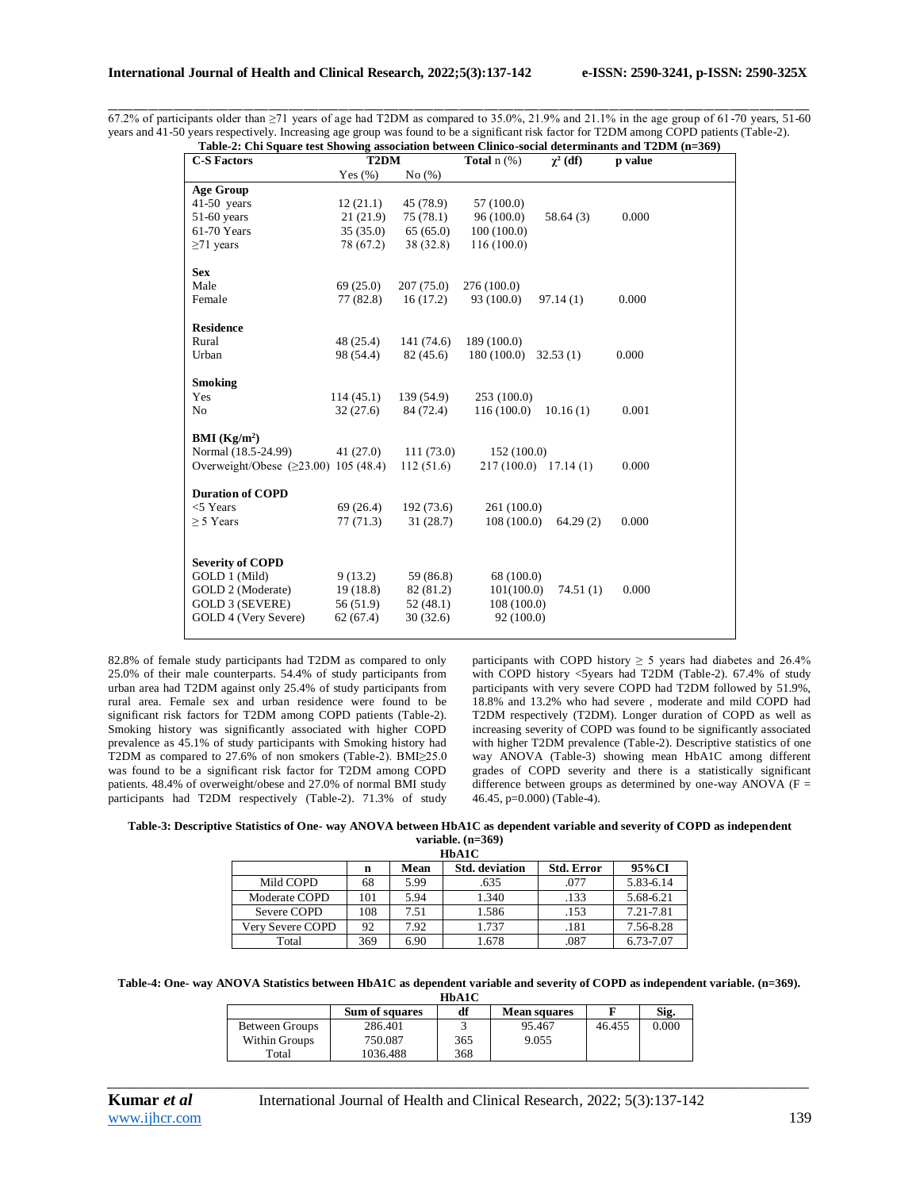\_\_\_\_\_\_\_\_\_\_\_\_\_\_\_\_\_\_\_\_\_\_\_\_\_\_\_\_\_\_\_\_\_\_\_\_\_\_\_\_\_\_\_\_\_\_\_\_\_\_\_\_\_\_\_\_\_\_\_\_\_\_\_\_\_\_\_\_\_\_\_\_\_\_\_\_\_\_\_\_\_\_\_\_\_\_\_\_\_\_\_\_\_\_\_\_\_\_\_\_\_\_\_\_\_\_\_\_\_\_\_\_\_\_\_\_\_\_\_\_\_\_\_\_\_\_\_\_\_\_\_\_\_\_\_\_\_\_\_\_ 67.2% of participants older than  $\geq$ 71 years of age had T2DM as compared to 35.0%, 21.9% and 21.1% in the age group of 61-70 years, 51-60 years and 41-50 years respectively. Increasing age group was found to be a significant risk factor for T2DM among COPD patients (Table-2).<br>Table 2: Chi Saugna test Showing association between Clinica social determinants an **Table-2: Chi Square test Showing association between Clinico-social determinants and T2DM (n=369)**

| <b>C-S Factors</b>                     | Table-2: Cin Square test Showing association between Chinco-social determinants and 12DM (n=309)<br>T <sub>2</sub> DM |            | <b>Total</b> $n$ $(\%)$   | $\gamma^2$ (df)       | p value |
|----------------------------------------|-----------------------------------------------------------------------------------------------------------------------|------------|---------------------------|-----------------------|---------|
|                                        | Yes $(\%)$                                                                                                            | No(%)      |                           |                       |         |
| <b>Age Group</b>                       |                                                                                                                       |            |                           |                       |         |
| 41-50 years                            | 12(21.1)                                                                                                              | 45 (78.9)  | 57 (100.0)                |                       |         |
| 51-60 years                            | 21(21.9)                                                                                                              | 75(78.1)   | 96(100.0)                 | 58.64(3)              | 0.000   |
| 61-70 Years                            | 35(35.0)                                                                                                              | 65(65.0)   | 100(100.0)                |                       |         |
| $\geq$ 71 years                        | 78 (67.2)                                                                                                             | 38 (32.8)  | 116(100.0)                |                       |         |
|                                        |                                                                                                                       |            |                           |                       |         |
| <b>Sex</b>                             |                                                                                                                       |            |                           |                       |         |
| Male                                   | 69(25.0)                                                                                                              | 207(75.0)  | 276 (100.0)               |                       |         |
| Female                                 | 77 (82.8)                                                                                                             | 16(17.2)   | 93 (100.0)                | 97.14(1)              | 0.000   |
|                                        |                                                                                                                       |            |                           |                       |         |
| <b>Residence</b>                       |                                                                                                                       |            |                           |                       |         |
| Rural                                  | 48 (25.4)                                                                                                             | 141 (74.6) | 189 (100.0)               |                       |         |
| Urban                                  | 98 (54.4)                                                                                                             | 82(45.6)   | 180 (100.0)               | 32.53(1)              | 0.000   |
|                                        |                                                                                                                       |            |                           |                       |         |
| <b>Smoking</b><br>Yes                  | 114(45.1)                                                                                                             | 139 (54.9) |                           |                       |         |
| N <sub>0</sub>                         |                                                                                                                       | 84 (72.4)  | 253 (100.0)<br>116(100.0) | 10.16(1)              | 0.001   |
|                                        | 32(27.6)                                                                                                              |            |                           |                       |         |
| <b>BMI</b> ( $Kg/m2$ )                 |                                                                                                                       |            |                           |                       |         |
| Normal (18.5-24.99)                    | 41 (27.0)                                                                                                             | 111(73.0)  | 152(100.0)                |                       |         |
| Overweight/Obese $(≥23.00)$ 105 (48.4) |                                                                                                                       | 112(51.6)  |                           | $217(100.0)$ 17.14(1) | 0.000   |
|                                        |                                                                                                                       |            |                           |                       |         |
| <b>Duration of COPD</b>                |                                                                                                                       |            |                           |                       |         |
| $<$ $5$ Years                          | 69 (26.4)                                                                                                             | 192(73.6)  | 261 (100.0)               |                       |         |
| $\geq$ 5 Years                         | 77(71.3)                                                                                                              | 31(28.7)   | 108(100.0)                | 64.29(2)              | 0.000   |
|                                        |                                                                                                                       |            |                           |                       |         |
|                                        |                                                                                                                       |            |                           |                       |         |
| <b>Severity of COPD</b>                |                                                                                                                       |            |                           |                       |         |
| GOLD 1 (Mild)                          | 9(13.2)                                                                                                               | 59 (86.8)  | 68 (100.0)                |                       |         |
| GOLD 2 (Moderate)                      | 19(18.8)                                                                                                              | 82 (81.2)  | 101(100.0)                | 74.51(1)              | 0.000   |
| GOLD 3 (SEVERE)                        | 56 (51.9)                                                                                                             | 52(48.1)   | 108(100.0)                |                       |         |
| GOLD 4 (Very Severe)                   | 62(67.4)                                                                                                              | 30(32.6)   | 92 (100.0)                |                       |         |
|                                        |                                                                                                                       |            |                           |                       |         |

82.8% of female study participants had T2DM as compared to only 25.0% of their male counterparts. 54.4% of study participants from urban area had T2DM against only 25.4% of study participants from rural area. Female sex and urban residence were found to be significant risk factors for T2DM among COPD patients (Table-2). Smoking history was significantly associated with higher COPD prevalence as 45.1% of study participants with Smoking history had T2DM as compared to 27.6% of non smokers (Table-2). BMI≥25.0 was found to be a significant risk factor for T2DM among COPD patients. 48.4% of overweight/obese and 27.0% of normal BMI study participants had T2DM respectively (Table-2). 71.3% of study participants with COPD history  $\geq$  5 years had diabetes and 26.4% with COPD history <5years had T2DM (Table-2). 67.4% of study participants with very severe COPD had T2DM followed by 51.9%, 18.8% and 13.2% who had severe , moderate and mild COPD had T2DM respectively (T2DM). Longer duration of COPD as well as increasing severity of COPD was found to be significantly associated with higher T2DM prevalence (Table-2). Descriptive statistics of one way ANOVA (Table-3) showing mean HbA1C among different grades of COPD severity and there is a statistically significant difference between groups as determined by one-way ANOVA ( $F =$ 46.45, p=0.000) (Table-4).

**Table-3: Descriptive Statistics of One- way ANOVA between HbA1C as dependent variable and severity of COPD as independent variable. (n=369) HbA1C**

| nvare            |     |      |                       |                   |           |  |
|------------------|-----|------|-----------------------|-------------------|-----------|--|
|                  | n   | Mean | <b>Std.</b> deviation | <b>Std. Error</b> | 95%CI     |  |
| Mild COPD        | 68  | 5.99 | .635                  | .077              | 5.83-6.14 |  |
| Moderate COPD    | 101 | 5.94 | 1.340                 | .133              | 5.68-6.21 |  |
| Severe COPD      | 108 | 7.51 | 1.586                 | .153              | 7.21-7.81 |  |
| Verv Severe COPD | 92  | 7.92 | 1.737                 | .181              | 7.56-8.28 |  |
| Total            | 369 | 6.90 | 1.678                 | .087              | 6.73-7.07 |  |

**Table-4: One- way ANOVA Statistics between HbA1C as dependent variable and severity of COPD as independent variable. (n=369). HbA1C**

|                | <b>Sum of squares</b> | df  | <b>Mean squares</b> |        | Sig.  |  |
|----------------|-----------------------|-----|---------------------|--------|-------|--|
| Between Groups | 286.401               |     | 95.467              | 46.455 | 0.000 |  |
| Within Groups  | 750.087               | 365 | 9.055               |        |       |  |
| Total          | 1036.488              | 368 |                     |        |       |  |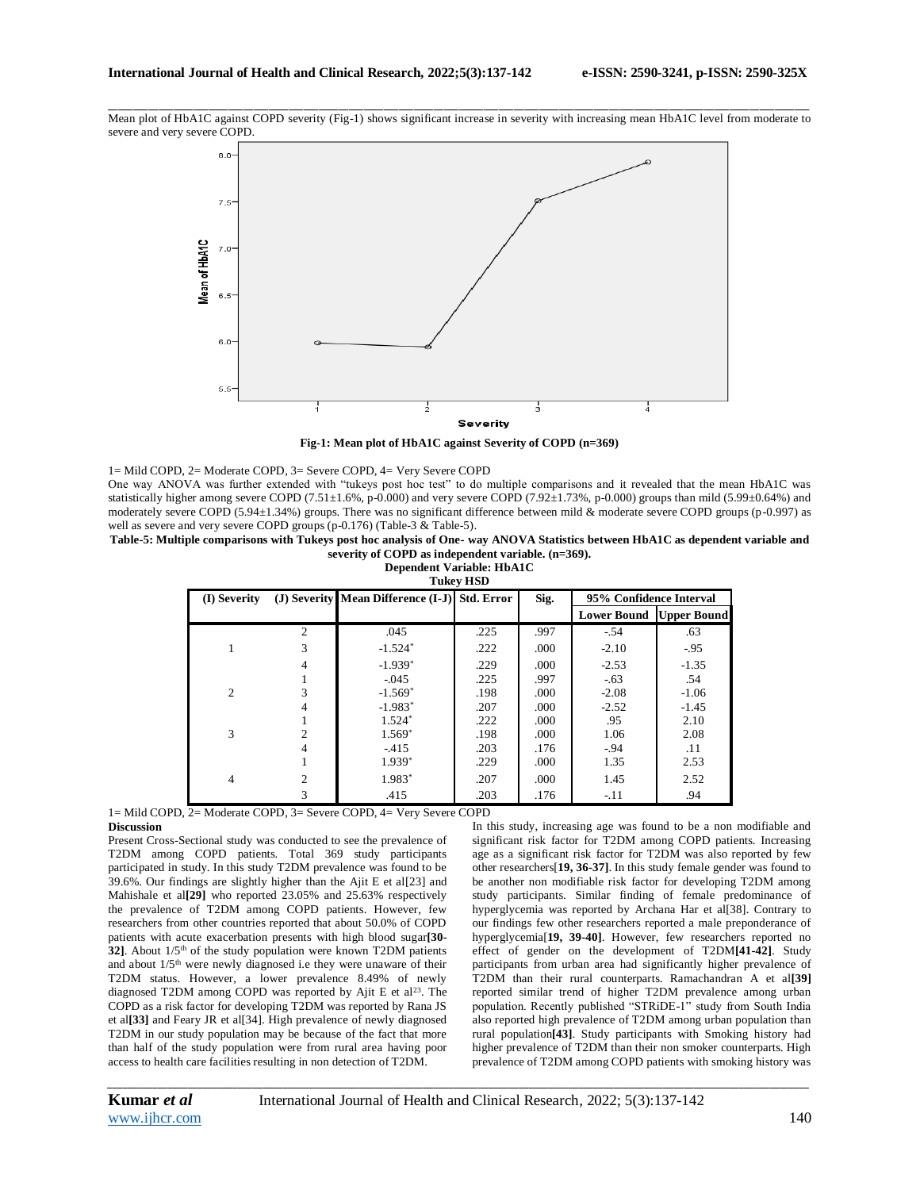\_\_\_\_\_\_\_\_\_\_\_\_\_\_\_\_\_\_\_\_\_\_\_\_\_\_\_\_\_\_\_\_\_\_\_\_\_\_\_\_\_\_\_\_\_\_\_\_\_\_\_\_\_\_\_\_\_\_\_\_\_\_\_\_\_\_\_\_\_\_\_\_\_\_\_\_\_\_\_\_\_\_\_\_\_\_\_\_\_\_\_\_\_\_\_\_\_\_\_\_\_\_\_\_\_\_\_\_\_\_\_\_\_\_\_\_\_\_\_\_\_\_\_\_\_\_\_\_\_\_\_\_\_\_\_\_\_\_\_\_ Mean plot of HbA1C against COPD severity (Fig-1) shows significant increase in severity with increasing mean HbA1C level from moderate to severe and very severe COPD.



**Fig-1: Mean plot of HbA1C against Severity of COPD (n=369)**

1= Mild COPD, 2= Moderate COPD, 3= Severe COPD, 4= Very Severe COPD

One way ANOVA was further extended with "tukeys post hoc test" to do multiple comparisons and it revealed that the mean HbA1C was statistically higher among severe COPD (7.51 $\pm$ 1.6%, p-0.000) and very severe COPD (7.92 $\pm$ 1.73%, p-0.000) groups than mild (5.99 $\pm$ 0.64%) and moderately severe COPD (5.94±1.34%) groups. There was no significant difference between mild & moderate severe COPD groups (p-0.997) as well as severe and very severe COPD groups (p-0.176) (Table-3 & Table-5).

**Table-5: Multiple comparisons with Tukeys post hoc analysis of One- way ANOVA Statistics between HbA1C as dependent variable and severity of COPD as independent variable. (n=369).**

**Dependent Variable: HbA1C Tukey HSD**

| <b>TUNCY LIDD</b> |                |                                               |      |         |                                  |         |  |
|-------------------|----------------|-----------------------------------------------|------|---------|----------------------------------|---------|--|
| (I) Severity      |                | (J) Severity Mean Difference (I-J) Std. Error |      | Sig.    | 95% Confidence Interval          |         |  |
|                   |                |                                               |      |         | <b>Lower Bound   Upper Bound</b> |         |  |
|                   | 2              | .045                                          | .225 | .997    | $-54$                            | .63     |  |
|                   | 3              | $-1.524*$                                     | .222 | .000    | $-2.10$                          | $-.95$  |  |
|                   | $-1.939*$      | .229                                          | .000 | $-2.53$ | $-1.35$                          |         |  |
|                   |                | $-.045$                                       | .225 | .997    | $-63$                            | .54     |  |
| $\overline{c}$    |                | $-1.569*$                                     | .198 | .000    | $-2.08$                          | $-1.06$ |  |
|                   |                | $-1.983*$                                     | .207 | .000    | $-2.52$                          | $-1.45$ |  |
|                   |                | $1.524*$                                      | .222 | .000    | .95                              | 2.10    |  |
| 3                 | $\mathfrak{D}$ | $1.569*$                                      | .198 | .000    | 1.06                             | 2.08    |  |
|                   | 4              | $-415$                                        | .203 | .176    | $-94$                            | .11     |  |
|                   |                | $1.939*$                                      | .229 | .000    | 1.35                             | 2.53    |  |
| 4                 | $\overline{c}$ | 1.983*                                        | .207 | .000    | 1.45                             | 2.52    |  |
|                   | 3              | .415                                          | .203 | .176    | $-.11$                           | .94     |  |

1= Mild COPD, 2= Moderate COPD, 3= Severe COPD, 4= Very Severe COPD **Discussion**

Present Cross-Sectional study was conducted to see the prevalence of T2DM among COPD patients. Total 369 study participants participated in study. In this study T2DM prevalence was found to be 39.6%. Our findings are slightly higher than the Ajit E et al[23] and Mahishale et al**[29]** who reported 23.05% and 25.63% respectively the prevalence of T2DM among COPD patients. However, few researchers from other countries reported that about 50.0% of COPD patients with acute exacerbation presents with high blood sugar**[30- 32]**. About 1/5<sup>th</sup> of the study population were known T2DM patients and about 1/5th were newly diagnosed i.e they were unaware of their T2DM status. However, a lower prevalence 8.49% of newly diagnosed T2DM among COPD was reported by Ajit E et al<sup>23</sup>. The COPD as a risk factor for developing T2DM was reported by Rana JS et al**[33]** and Feary JR et al[34]. High prevalence of newly diagnosed T2DM in our study population may be because of the fact that more than half of the study population were from rural area having poor access to health care facilities resulting in non detection of T2DM.

In this study, increasing age was found to be a non modifiable and significant risk factor for T2DM among COPD patients. Increasing age as a significant risk factor for T2DM was also reported by few other researchers[**19, 36-37]**. In this study female gender was found to be another non modifiable risk factor for developing T2DM among study participants. Similar finding of female predominance of hyperglycemia was reported by Archana Har et al[38]. Contrary to our findings few other researchers reported a male preponderance of hyperglycemia[**19, 39-40]**. However, few researchers reported no effect of gender on the development of T2DM**[41-42]**. Study participants from urban area had significantly higher prevalence of T2DM than their rural counterparts. Ramachandran A et al**[39]** reported similar trend of higher T2DM prevalence among urban population. Recently published "STRiDE-1" study from South India also reported high prevalence of T2DM among urban population than rural population**[43]**. Study participants with Smoking history had higher prevalence of T2DM than their non smoker counterparts. High prevalence of T2DM among COPD patients with smoking history was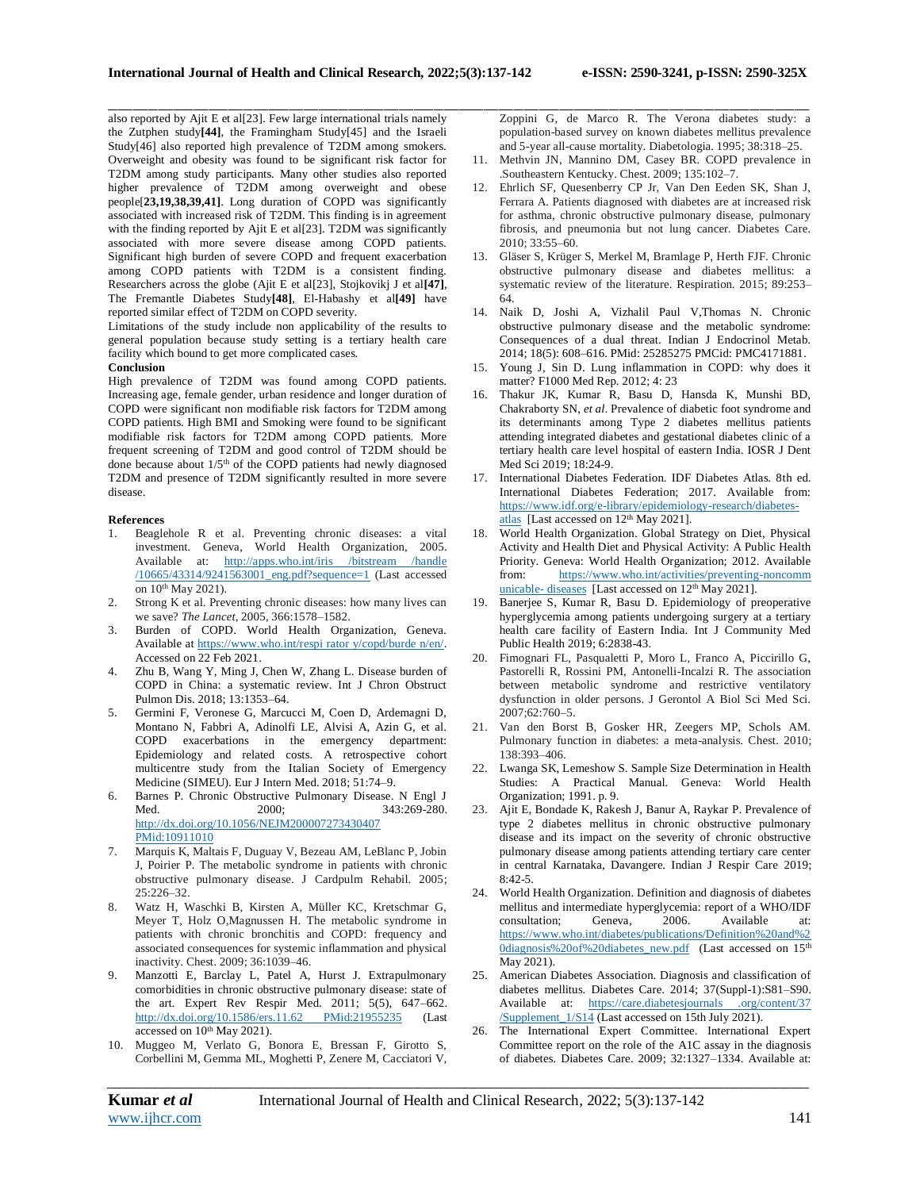\_\_\_\_\_\_\_\_\_\_\_\_\_\_\_\_\_\_\_\_\_\_\_\_\_\_\_\_\_\_\_\_\_\_\_\_\_\_\_\_\_\_\_\_\_\_\_\_\_\_\_\_\_\_\_\_\_\_\_\_\_\_\_\_\_\_\_\_\_\_\_\_\_\_\_\_\_\_\_\_\_\_\_\_\_\_\_\_\_\_\_\_\_\_\_\_\_\_\_\_\_\_\_\_\_\_\_\_\_\_\_\_\_\_\_\_\_\_\_\_\_\_\_\_\_\_\_\_\_\_\_\_\_\_\_\_\_\_\_\_ also reported by Ajit E et al[23]. Few large international trials namely the Zutphen study**[44]**, the Framingham Study[45] and the Israeli Study[46] also reported high prevalence of T2DM among smokers. Overweight and obesity was found to be significant risk factor for T2DM among study participants. Many other studies also reported higher prevalence of T2DM among overweight and obese people[**23,19,38,39,41]**. Long duration of COPD was significantly associated with increased risk of T2DM. This finding is in agreement with the finding reported by Ajit E et al[23]. T2DM was significantly associated with more severe disease among COPD patients. Significant high burden of severe COPD and frequent exacerbation among COPD patients with T2DM is a consistent finding. Researchers across the globe (Ajit E et al[23], Stojkovikj J et al**[47]**, The Fremantle Diabetes Study**[48]**, El‑Habashy et al**[49]** have reported similar effect of T2DM on COPD severity.

Limitations of the study include non applicability of the results to general population because study setting is a tertiary health care facility which bound to get more complicated cases.

#### **Conclusion**

High prevalence of T2DM was found among COPD patients. Increasing age, female gender, urban residence and longer duration of COPD were significant non modifiable risk factors for T2DM among COPD patients. High BMI and Smoking were found to be significant modifiable risk factors for T2DM among COPD patients. More frequent screening of T2DM and good control of T2DM should be done because about 1/5th of the COPD patients had newly diagnosed T2DM and presence of T2DM significantly resulted in more severe disease.

### **References**

- 1. Beaglehole R et al. Preventing chronic diseases: a vital investment*.* Geneva, World Health Organization, 2005. Available at: [http://apps.who.int/iris /bitstream /handle](http://apps.who.int/iris%20/bitstream%20/handle%20/10665/43314/9241563001_eng.pdf?sequence=1)  [/10665/43314/9241563001\\_eng.pdf?sequence=1](http://apps.who.int/iris%20/bitstream%20/handle%20/10665/43314/9241563001_eng.pdf?sequence=1) (Last accessed on 10<sup>th</sup> May 2021).
- 2. Strong K et al. Preventing chronic diseases: how many lives can we save? *The Lancet*, 2005, 366:1578–1582.
- Burden of COPD. World Health Organization, Geneva. Available a[t https://www.who.int/respi rator y/copd/burde n/en/.](https://www.who.int/respi%20rator%20y/copd/burde%20n/en/)  Accessed on 22 Feb 2021.
- 4. Zhu B, Wang Y, Ming J, Chen W, Zhang L. Disease burden of COPD in China: a systematic review. Int J Chron Obstruct Pulmon Dis. 2018; 13:1353–64.
- 5. Germini F, Veronese G, Marcucci M, Coen D, Ardemagni D, Montano N, Fabbri A, Adinolfi LE, Alvisi A, Azin G, et al. COPD exacerbations in the emergency department: Epidemiology and related costs. A retrospective cohort multicentre study from the Italian Society of Emergency Medicine (SIMEU). Eur J Intern Med. 2018; 51:74–9.
- 6. Barnes P. Chronic Obstructive Pulmonary Disease. N Engl J 343:269-280. [http://dx.doi.org/10.1056/NEJM200007273430407](http://dx.doi.org/10.1056/NEJM200007273430407%20PMid:10911010)  [PMid:10911010](http://dx.doi.org/10.1056/NEJM200007273430407%20PMid:10911010)
- 7. Marquis K, Maltais F, Duguay V, Bezeau AM, LeBlanc P, Jobin J, Poirier P. The metabolic syndrome in patients with chronic obstructive pulmonary disease. J Cardpulm Rehabil. 2005; 25:226–32.
- 8. Watz H, Waschki B, Kirsten A, Müller KC, Kretschmar G, Meyer T, Holz O,Magnussen H. The metabolic syndrome in patients with chronic bronchitis and COPD: frequency and associated consequences for systemic inflammation and physical inactivity. Chest. 2009; 36:1039–46.
- 9. Manzotti E, Barclay L, Patel A, Hurst J. Extrapulmonary comorbidities in chronic obstructive pulmonary disease: state of the art. Expert Rev Respir Med. 2011; 5(5), 647–662. [http://dx.doi.org/10.1586/ers.11.62 PMid:21955235](http://dx.doi.org/10.1586/ers.11.62%20PMid:21955235) (Last accessed on 10<sup>th</sup> May 2021).
- 10. Muggeo M, Verlato G, Bonora E, Bressan F, Girotto S, Corbellini M, Gemma ML, Moghetti P, Zenere M, Cacciatori V,

Zoppini G, de Marco R. The Verona diabetes study: a population-based survey on known diabetes mellitus prevalence and 5-year all-cause mortality. Diabetologia. 1995; 38:318–25.

- 11. Methvin JN, Mannino DM, Casey BR. COPD prevalence in .Southeastern Kentucky. Chest. 2009; 135:102–7.
- 12. Ehrlich SF, Quesenberry CP Jr, Van Den Eeden SK, Shan J, Ferrara A. Patients diagnosed with diabetes are at increased risk for asthma, chronic obstructive pulmonary disease, pulmonary fibrosis, and pneumonia but not lung cancer. Diabetes Care. 2010; 33:55–60.
- 13. Gläser S, Krüger S, Merkel M, Bramlage P, Herth FJF. Chronic obstructive pulmonary disease and diabetes mellitus: a systematic review of the literature. Respiration. 2015; 89:253– 64.
- 14. Naik D, Joshi A, Vizhalil Paul V,Thomas N. Chronic obstructive pulmonary disease and the metabolic syndrome: Consequences of a dual threat. Indian J Endocrinol Metab. 2014; 18(5): 608–616. PMid: 25285275 PMCid: PMC4171881.
- 15. Young J, Sin D. Lung inflammation in COPD: why does it matter? F1000 Med Rep. 2012; 4: 23
- 16. Thakur JK, Kumar R, Basu D, Hansda K, Munshi BD, Chakraborty SN, *et al*. Prevalence of diabetic foot syndrome and its determinants among Type 2 diabetes mellitus patients attending integrated diabetes and gestational diabetes clinic of a tertiary health care level hospital of eastern India. IOSR J Dent Med Sci 2019; 18:24-9.
- 17. International Diabetes Federation. IDF Diabetes Atlas. 8th ed. International Diabetes Federation; 2017. Available from: [https://www.idf.org/e-library/epidemiology-research/diabetes](https://www.idf.org/e-library/epidemiology-research/diabetes-atlas)[atlas](https://www.idf.org/e-library/epidemiology-research/diabetes-atlas) [Last accessed on 12<sup>th</sup> May 2021].
- 18. World Health Organization. Global Strategy on Diet, Physical Activity and Health Diet and Physical Activity: A Public Health Priority. Geneva: World Health Organization; 2012. Available from: [https://www.who.int/activities/preventing-noncomm](https://www.who.int/activities/preventing-noncomm%20unicable-diseases)  [unicable-](https://www.who.int/activities/preventing-noncomm%20unicable-diseases) diseases [Last accessed on 12<sup>th</sup> May 2021].
- 19. Banerjee S, Kumar R, Basu D. Epidemiology of preoperative hyperglycemia among patients undergoing surgery at a tertiary health care facility of Eastern India. Int J Community Med Public Health 2019; 6:2838-43.
- 20. Fimognari FL, Pasqualetti P, Moro L, Franco A, Piccirillo G, Pastorelli R, Rossini PM, Antonelli-Incalzi R. The association between metabolic syndrome and restrictive ventilatory dysfunction in older persons. J Gerontol A Biol Sci Med Sci. 2007;62:760–5.
- 21. Van den Borst B, Gosker HR, Zeegers MP, Schols AM. Pulmonary function in diabetes: a meta-analysis. Chest. 2010; 138:393–406.
- 22. Lwanga SK, Lemeshow S. Sample Size Determination in Health Studies: A Practical Manual. Geneva: World Health Organization; 1991. p. 9.
- 23. Ajit E, Bondade K, Rakesh J, Banur A, Raykar P. Prevalence of type 2 diabetes mellitus in chronic obstructive pulmonary disease and its impact on the severity of chronic obstructive pulmonary disease among patients attending tertiary care center in central Karnataka, Davangere. Indian J Respir Care 2019; 8:42-5.
- 24. World Health Organization. Definition and diagnosis of diabetes mellitus and intermediate hyperglycemia: report of a WHO/IDF consultation; Geneva, 2006. Available at: consultation; Geneva, 2006. Available at: [https://www.who.int/diabetes/publications/Definition%20and%2](https://www.who.int/diabetes/publications/Definition%20and%20diagnosis%20of%20diabetes_new.pdf) [0diagnosis%20of%20diabetes\\_new.pdf](https://www.who.int/diabetes/publications/Definition%20and%20diagnosis%20of%20diabetes_new.pdf) (Last accessed on 15th May 2021).
- 25. American Diabetes Association. Diagnosis and classification of diabetes mellitus. Diabetes Care. 2014; 37(Suppl-1):S81–S90. Available at: https://care.diabetesjournals .org/content/37 /Supplement\_1/S14 (Last accessed on 15th July 2021).
- 26. The International Expert Committee. International Expert Committee report on the role of the A1C assay in the diagnosis of diabetes. Diabetes Care. 2009; 32:1327–1334. Available at: